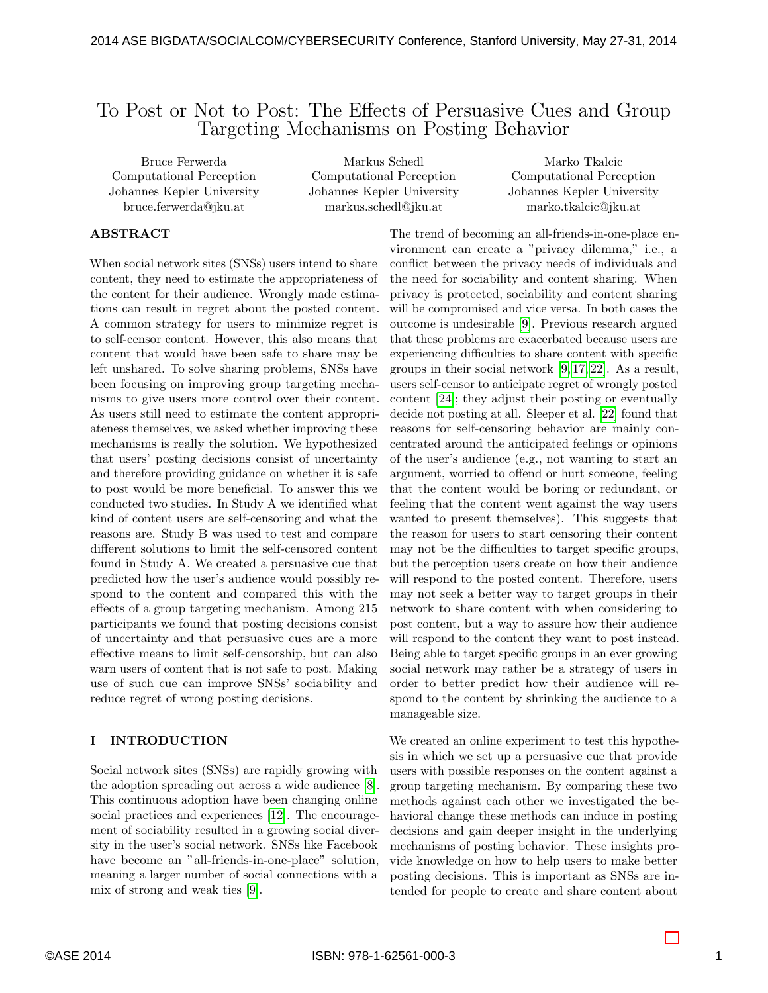# To Post or Not to Post: The Effects of Persuasive Cues and Group Targeting Mechanisms on Posting Behavior

Bruce Ferwerda Computational Perception Johannes Kepler University bruce.ferwerda@jku.at

Markus Schedl Computational Perception Johannes Kepler University markus.schedl@jku.at

Marko Tkalcic Computational Perception Johannes Kepler University marko.tkalcic@jku.at

### ABSTRACT

When social network sites (SNSs) users intend to share content, they need to estimate the appropriateness of the content for their audience. Wrongly made estimations can result in regret about the posted content. A common strategy for users to minimize regret is to self-censor content. However, this also means that content that would have been safe to share may be left unshared. To solve sharing problems, SNSs have been focusing on improving group targeting mechanisms to give users more control over their content. As users still need to estimate the content appropriateness themselves, we asked whether improving these mechanisms is really the solution. We hypothesized that users' posting decisions consist of uncertainty and therefore providing guidance on whether it is safe to post would be more beneficial. To answer this we conducted two studies. In Study A we identified what kind of content users are self-censoring and what the reasons are. Study B was used to test and compare different solutions to limit the self-censored content found in Study A. We created a persuasive cue that predicted how the user's audience would possibly respond to the content and compared this with the effects of a group targeting mechanism. Among 215 participants we found that posting decisions consist of uncertainty and that persuasive cues are a more effective means to limit self-censorship, but can also warn users of content that is not safe to post. Making use of such cue can improve SNSs' sociability and reduce regret of wrong posting decisions.

#### I INTRODUCTION

Social network sites (SNSs) are rapidly growing with the adoption spreading out across a wide audience [\[8\]](#page-10-0). This continuous adoption have been changing online social practices and experiences [\[12\]](#page-10-1). The encouragement of sociability resulted in a growing social diversity in the user's social network. SNSs like Facebook have become an "all-friends-in-one-place" solution, meaning a larger number of social connections with a mix of strong and weak ties [\[9\]](#page-10-2).

The trend of becoming an all-friends-in-one-place environment can create a "privacy dilemma," i.e., a conflict between the privacy needs of individuals and the need for sociability and content sharing. When privacy is protected, sociability and content sharing will be compromised and vice versa. In both cases the outcome is undesirable [\[9\]](#page-10-2). Previous research argued that these problems are exacerbated because users are experiencing difficulties to share content with specific groups in their social network [\[9,](#page-10-2) [17,](#page-10-3) [22\]](#page-10-4). As a result, users self-censor to anticipate regret of wrongly posted content [\[24\]](#page-11-0); they adjust their posting or eventually decide not posting at all. Sleeper et al. [\[22\]](#page-10-4) found that reasons for self-censoring behavior are mainly concentrated around the anticipated feelings or opinions of the user's audience (e.g., not wanting to start an argument, worried to offend or hurt someone, feeling that the content would be boring or redundant, or feeling that the content went against the way users wanted to present themselves). This suggests that the reason for users to start censoring their content may not be the difficulties to target specific groups, but the perception users create on how their audience will respond to the posted content. Therefore, users may not seek a better way to target groups in their network to share content with when considering to post content, but a way to assure how their audience will respond to the content they want to post instead. Being able to target specific groups in an ever growing social network may rather be a strategy of users in order to better predict how their audience will respond to the content by shrinking the audience to a manageable size.

We created an online experiment to test this hypothesis in which we set up a persuasive cue that provide users with possible responses on the content against a group targeting mechanism. By comparing these two methods against each other we investigated the behavioral change these methods can induce in posting decisions and gain deeper insight in the underlying mechanisms of posting behavior. These insights provide knowledge on how to help users to make better posting decisions. This is important as SNSs are intended for people to create and share content about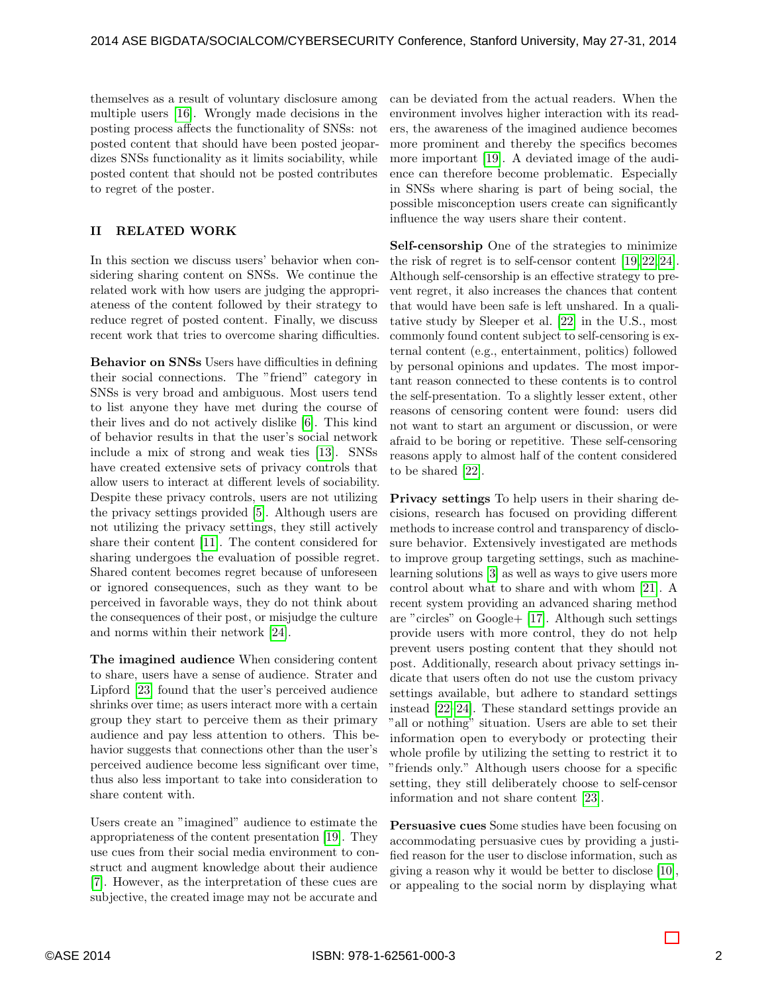themselves as a result of voluntary disclosure among multiple users [\[16\]](#page-10-5). Wrongly made decisions in the posting process affects the functionality of SNSs: not posted content that should have been posted jeopardizes SNSs functionality as it limits sociability, while posted content that should not be posted contributes to regret of the poster.

# II RELATED WORK

In this section we discuss users' behavior when considering sharing content on SNSs. We continue the related work with how users are judging the appropriateness of the content followed by their strategy to reduce regret of posted content. Finally, we discuss recent work that tries to overcome sharing difficulties.

Behavior on SNSs Users have difficulties in defining their social connections. The "friend" category in SNSs is very broad and ambiguous. Most users tend to list anyone they have met during the course of their lives and do not actively dislike [\[6\]](#page-10-6). This kind of behavior results in that the user's social network include a mix of strong and weak ties [\[13\]](#page-10-7). SNSs have created extensive sets of privacy controls that allow users to interact at different levels of sociability. Despite these privacy controls, users are not utilizing the privacy settings provided [\[5\]](#page-10-8). Although users are not utilizing the privacy settings, they still actively share their content [\[11\]](#page-10-9). The content considered for sharing undergoes the evaluation of possible regret. Shared content becomes regret because of unforeseen or ignored consequences, such as they want to be perceived in favorable ways, they do not think about the consequences of their post, or misjudge the culture and norms within their network [\[24\]](#page-11-0).

The imagined audience When considering content to share, users have a sense of audience. Strater and Lipford [\[23\]](#page-11-1) found that the user's perceived audience shrinks over time; as users interact more with a certain group they start to perceive them as their primary audience and pay less attention to others. This behavior suggests that connections other than the user's perceived audience become less significant over time, thus also less important to take into consideration to share content with.

Users create an "imagined" audience to estimate the appropriateness of the content presentation [\[19\]](#page-10-10). They use cues from their social media environment to construct and augment knowledge about their audience [\[7\]](#page-10-11). However, as the interpretation of these cues are subjective, the created image may not be accurate and

can be deviated from the actual readers. When the environment involves higher interaction with its readers, the awareness of the imagined audience becomes more prominent and thereby the specifics becomes more important [\[19\]](#page-10-10). A deviated image of the audience can therefore become problematic. Especially in SNSs where sharing is part of being social, the possible misconception users create can significantly influence the way users share their content.

Self-censorship One of the strategies to minimize the risk of regret is to self-censor content [\[19,](#page-10-10) [22,](#page-10-4) [24\]](#page-11-0). Although self-censorship is an effective strategy to prevent regret, it also increases the chances that content that would have been safe is left unshared. In a qualitative study by Sleeper et al. [\[22\]](#page-10-4) in the U.S., most commonly found content subject to self-censoring is external content (e.g., entertainment, politics) followed by personal opinions and updates. The most important reason connected to these contents is to control the self-presentation. To a slightly lesser extent, other reasons of censoring content were found: users did not want to start an argument or discussion, or were afraid to be boring or repetitive. These self-censoring reasons apply to almost half of the content considered to be shared [\[22\]](#page-10-4).

Privacy settings To help users in their sharing decisions, research has focused on providing different methods to increase control and transparency of disclosure behavior. Extensively investigated are methods to improve group targeting settings, such as machinelearning solutions [\[3\]](#page-10-12) as well as ways to give users more control about what to share and with whom [\[21\]](#page-10-13). A recent system providing an advanced sharing method are "circles" on Google+ [\[17\]](#page-10-3). Although such settings provide users with more control, they do not help prevent users posting content that they should not post. Additionally, research about privacy settings indicate that users often do not use the custom privacy settings available, but adhere to standard settings instead [\[22–](#page-10-4)[24\]](#page-11-0). These standard settings provide an "all or nothing" situation. Users are able to set their information open to everybody or protecting their whole profile by utilizing the setting to restrict it to "friends only." Although users choose for a specific setting, they still deliberately choose to self-censor information and not share content [\[23\]](#page-11-1).

Persuasive cues Some studies have been focusing on accommodating persuasive cues by providing a justified reason for the user to disclose information, such as giving a reason why it would be better to disclose [\[10\]](#page-10-14), or appealing to the social norm by displaying what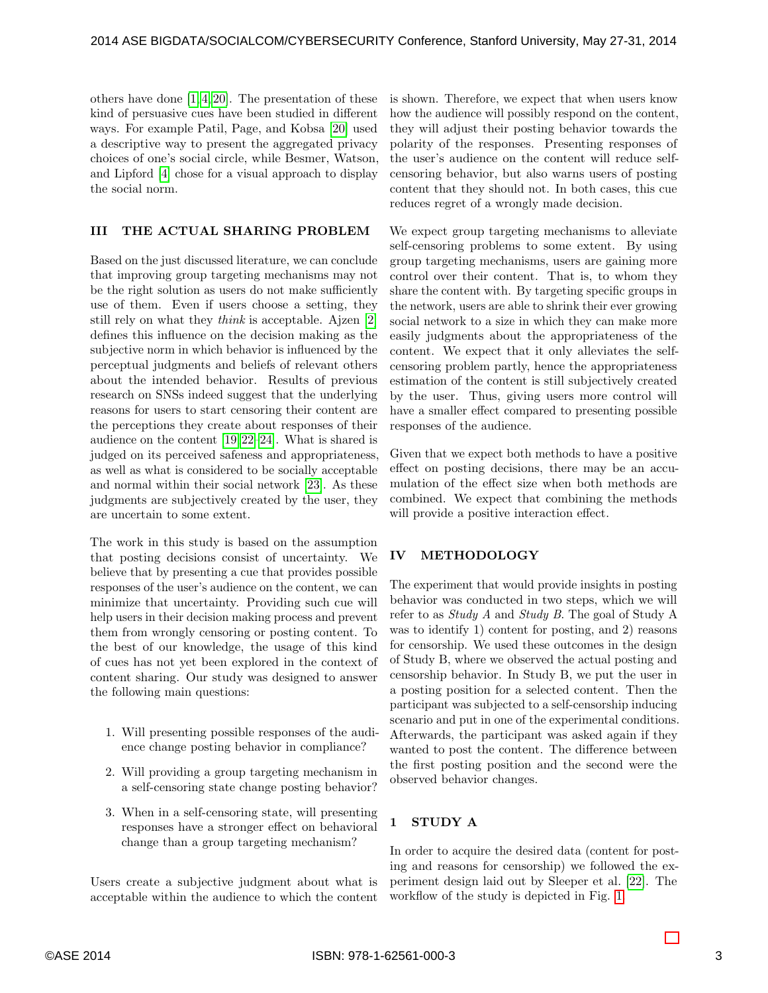others have done [\[1,](#page-10-15) [4,](#page-10-16) [20\]](#page-10-17). The presentation of these kind of persuasive cues have been studied in different ways. For example Patil, Page, and Kobsa [\[20\]](#page-10-17) used a descriptive way to present the aggregated privacy choices of one's social circle, while Besmer, Watson, and Lipford [\[4\]](#page-10-16) chose for a visual approach to display the social norm.

### <span id="page-2-0"></span>III THE ACTUAL SHARING PROBLEM

Based on the just discussed literature, we can conclude that improving group targeting mechanisms may not be the right solution as users do not make sufficiently use of them. Even if users choose a setting, they still rely on what they think is acceptable. Ajzen [\[2\]](#page-10-18) defines this influence on the decision making as the subjective norm in which behavior is influenced by the perceptual judgments and beliefs of relevant others about the intended behavior. Results of previous research on SNSs indeed suggest that the underlying reasons for users to start censoring their content are the perceptions they create about responses of their audience on the content [\[19,](#page-10-10) [22](#page-10-4)[–24\]](#page-11-0). What is shared is judged on its perceived safeness and appropriateness, as well as what is considered to be socially acceptable and normal within their social network [\[23\]](#page-11-1). As these judgments are subjectively created by the user, they are uncertain to some extent.

The work in this study is based on the assumption that posting decisions consist of uncertainty. We believe that by presenting a cue that provides possible responses of the user's audience on the content, we can minimize that uncertainty. Providing such cue will help users in their decision making process and prevent them from wrongly censoring or posting content. To the best of our knowledge, the usage of this kind of cues has not yet been explored in the context of content sharing. Our study was designed to answer the following main questions:

- 1. Will presenting possible responses of the audience change posting behavior in compliance?
- 2. Will providing a group targeting mechanism in a self-censoring state change posting behavior?
- 3. When in a self-censoring state, will presenting responses have a stronger effect on behavioral change than a group targeting mechanism?

Users create a subjective judgment about what is acceptable within the audience to which the content

is shown. Therefore, we expect that when users know how the audience will possibly respond on the content, they will adjust their posting behavior towards the polarity of the responses. Presenting responses of the user's audience on the content will reduce selfcensoring behavior, but also warns users of posting content that they should not. In both cases, this cue reduces regret of a wrongly made decision.

We expect group targeting mechanisms to alleviate self-censoring problems to some extent. By using group targeting mechanisms, users are gaining more control over their content. That is, to whom they share the content with. By targeting specific groups in the network, users are able to shrink their ever growing social network to a size in which they can make more easily judgments about the appropriateness of the content. We expect that it only alleviates the selfcensoring problem partly, hence the appropriateness estimation of the content is still subjectively created by the user. Thus, giving users more control will have a smaller effect compared to presenting possible responses of the audience.

Given that we expect both methods to have a positive effect on posting decisions, there may be an accumulation of the effect size when both methods are combined. We expect that combining the methods will provide a positive interaction effect.

# IV METHODOLOGY

The experiment that would provide insights in posting behavior was conducted in two steps, which we will refer to as Study A and Study B. The goal of Study A was to identify 1) content for posting, and 2) reasons for censorship. We used these outcomes in the design of Study B, where we observed the actual posting and censorship behavior. In Study B, we put the user in a posting position for a selected content. Then the participant was subjected to a self-censorship inducing scenario and put in one of the experimental conditions. Afterwards, the participant was asked again if they wanted to post the content. The difference between the first posting position and the second were the observed behavior changes.

# 1 STUDY A

In order to acquire the desired data (content for posting and reasons for censorship) we followed the experiment design laid out by Sleeper et al. [\[22\]](#page-10-4). The workflow of the study is depicted in Fig. [1.](#page-3-0)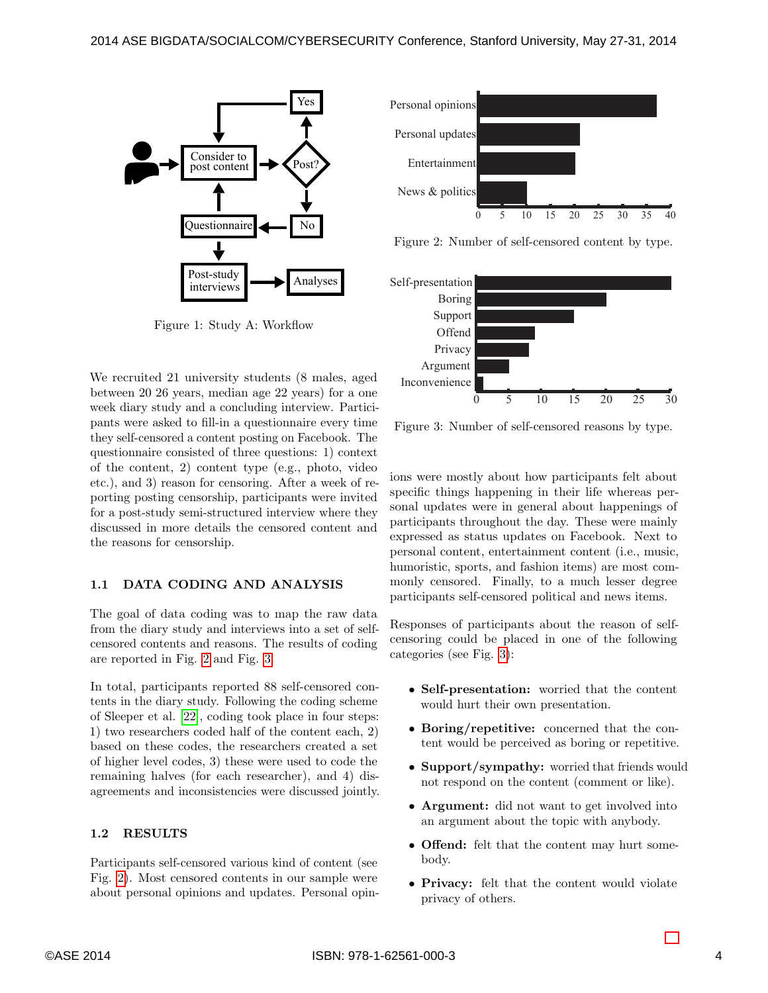

<span id="page-3-0"></span>Figure 1: Study A: Workflow

We recruited 21 university students (8 males, aged between 20 26 years, median age 22 years) for a one week diary study and a concluding interview. Participants were asked to fill-in a questionnaire every time they self-censored a content posting on Facebook. The questionnaire consisted of three questions: 1) context of the content, 2) content type (e.g., photo, video etc.), and 3) reason for censoring. After a week of reporting posting censorship, participants were invited for a post-study semi-structured interview where they discussed in more details the censored content and the reasons for censorship.

### 1.1 DATA CODING AND ANALYSIS

The goal of data coding was to map the raw data from the diary study and interviews into a set of selfcensored contents and reasons. The results of coding are reported in Fig. [2](#page-3-1) and Fig. [3.](#page-3-2)

In total, participants reported 88 self-censored contents in the diary study. Following the coding scheme of Sleeper et al. [\[22\]](#page-10-4), coding took place in four steps: 1) two researchers coded half of the content each, 2) based on these codes, the researchers created a set of higher level codes, 3) these were used to code the remaining halves (for each researcher), and 4) disagreements and inconsistencies were discussed jointly.

### <span id="page-3-3"></span>1.2 RESULTS

Participants self-censored various kind of content (see Fig. [2\)](#page-3-1). Most censored contents in our sample were about personal opinions and updates. Personal opin-



<span id="page-3-1"></span>Figure 2: Number of self-censored content by type.



<span id="page-3-2"></span>Figure 3: Number of self-censored reasons by type.

ions were mostly about how participants felt about specific things happening in their life whereas personal updates were in general about happenings of participants throughout the day. These were mainly expressed as status updates on Facebook. Next to personal content, entertainment content (i.e., music, humoristic, sports, and fashion items) are most commonly censored. Finally, to a much lesser degree participants self-censored political and news items.

Responses of participants about the reason of selfcensoring could be placed in one of the following categories (see Fig. [3\)](#page-3-2):

- Self-presentation: worried that the content would hurt their own presentation.
- Boring/repetitive: concerned that the content would be perceived as boring or repetitive.
- Support/sympathy: worried that friends would not respond on the content (comment or like).
- Argument: did not want to get involved into an argument about the topic with anybody.
- **Offend:** felt that the content may hurt somebody.
- Privacy: felt that the content would violate privacy of others.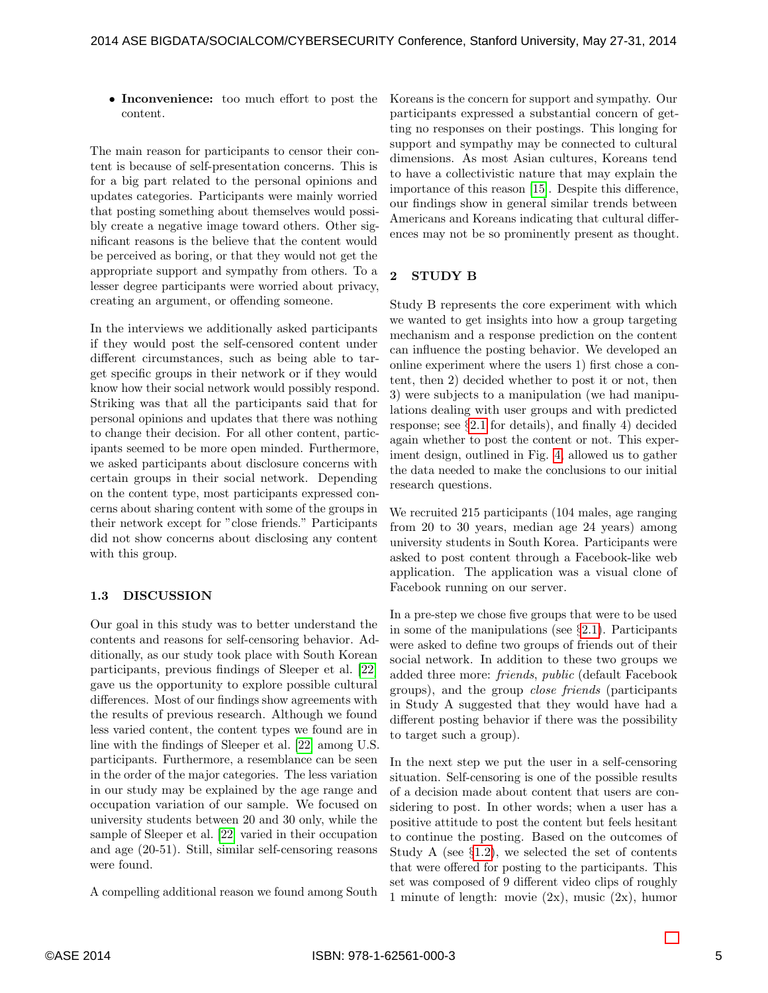• Inconvenience: too much effort to post the content.

The main reason for participants to censor their content is because of self-presentation concerns. This is for a big part related to the personal opinions and updates categories. Participants were mainly worried that posting something about themselves would possibly create a negative image toward others. Other significant reasons is the believe that the content would be perceived as boring, or that they would not get the appropriate support and sympathy from others. To a lesser degree participants were worried about privacy, creating an argument, or offending someone.

In the interviews we additionally asked participants if they would post the self-censored content under different circumstances, such as being able to target specific groups in their network or if they would know how their social network would possibly respond. Striking was that all the participants said that for personal opinions and updates that there was nothing to change their decision. For all other content, participants seemed to be more open minded. Furthermore, we asked participants about disclosure concerns with certain groups in their social network. Depending on the content type, most participants expressed concerns about sharing content with some of the groups in their network except for "close friends." Participants did not show concerns about disclosing any content with this group.

# 1.3 DISCUSSION

Our goal in this study was to better understand the contents and reasons for self-censoring behavior. Additionally, as our study took place with South Korean participants, previous findings of Sleeper et al. [\[22\]](#page-10-4) gave us the opportunity to explore possible cultural differences. Most of our findings show agreements with the results of previous research. Although we found less varied content, the content types we found are in line with the findings of Sleeper et al. [\[22\]](#page-10-4) among U.S. participants. Furthermore, a resemblance can be seen in the order of the major categories. The less variation in our study may be explained by the age range and occupation variation of our sample. We focused on university students between 20 and 30 only, while the sample of Sleeper et al. [\[22\]](#page-10-4) varied in their occupation and age (20-51). Still, similar self-censoring reasons were found.

A compelling additional reason we found among South

Koreans is the concern for support and sympathy. Our participants expressed a substantial concern of getting no responses on their postings. This longing for support and sympathy may be connected to cultural dimensions. As most Asian cultures, Koreans tend to have a collectivistic nature that may explain the importance of this reason [\[15\]](#page-10-19). Despite this difference, our findings show in general similar trends between Americans and Koreans indicating that cultural differences may not be so prominently present as thought.

# 2 STUDY B

Study B represents the core experiment with which we wanted to get insights into how a group targeting mechanism and a response prediction on the content can influence the posting behavior. We developed an online experiment where the users 1) first chose a content, then 2) decided whether to post it or not, then 3) were subjects to a manipulation (we had manipulations dealing with user groups and with predicted response; see §[2.1](#page-5-0) for details), and finally 4) decided again whether to post the content or not. This experiment design, outlined in Fig. [4,](#page-5-1) allowed us to gather the data needed to make the conclusions to our initial research questions.

We recruited 215 participants (104 males, age ranging from 20 to 30 years, median age 24 years) among university students in South Korea. Participants were asked to post content through a Facebook-like web application. The application was a visual clone of Facebook running on our server.

In a pre-step we chose five groups that were to be used in some of the manipulations (see §[2.1\)](#page-5-0). Participants were asked to define two groups of friends out of their social network. In addition to these two groups we added three more: friends, public (default Facebook groups), and the group close friends (participants in Study A suggested that they would have had a different posting behavior if there was the possibility to target such a group).

In the next step we put the user in a self-censoring situation. Self-censoring is one of the possible results of a decision made about content that users are considering to post. In other words; when a user has a positive attitude to post the content but feels hesitant to continue the posting. Based on the outcomes of Study A (see  $\S1.2$ ), we selected the set of contents that were offered for posting to the participants. This set was composed of 9 different video clips of roughly 1 minute of length: movie (2x), music (2x), humor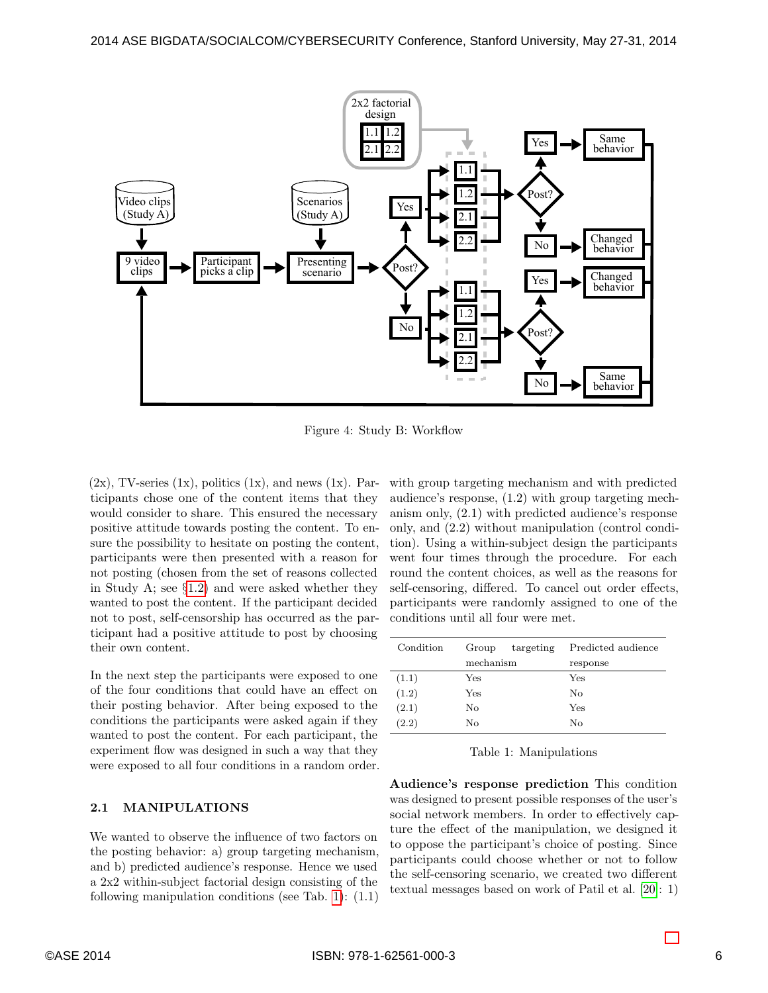

<span id="page-5-1"></span>Figure 4: Study B: Workflow

 $(2x)$ , TV-series  $(1x)$ , politics  $(1x)$ , and news  $(1x)$ . Participants chose one of the content items that they would consider to share. This ensured the necessary positive attitude towards posting the content. To ensure the possibility to hesitate on posting the content, participants were then presented with a reason for not posting (chosen from the set of reasons collected in Study A; see §[1.2\)](#page-3-3) and were asked whether they wanted to post the content. If the participant decided not to post, self-censorship has occurred as the participant had a positive attitude to post by choosing their own content.

In the next step the participants were exposed to one of the four conditions that could have an effect on their posting behavior. After being exposed to the conditions the participants were asked again if they wanted to post the content. For each participant, the experiment flow was designed in such a way that they were exposed to all four conditions in a random order.

### <span id="page-5-0"></span>2.1 MANIPULATIONS

We wanted to observe the influence of two factors on the posting behavior: a) group targeting mechanism, and b) predicted audience's response. Hence we used a 2x2 within-subject factorial design consisting of the following manipulation conditions (see Tab. [1\)](#page-5-2): (1.1)

with group targeting mechanism and with predicted audience's response, (1.2) with group targeting mechanism only, (2.1) with predicted audience's response only, and (2.2) without manipulation (control condition). Using a within-subject design the participants went four times through the procedure. For each round the content choices, as well as the reasons for self-censoring, differed. To cancel out order effects, participants were randomly assigned to one of the conditions until all four were met.

| Condition | Group<br>targeting | Predicted audience |
|-----------|--------------------|--------------------|
|           | mechanism          | response           |
| (1.1)     | Yes                | Yes                |
| (1.2)     | Yes                | No                 |
| (2.1)     | No                 | Yes                |
| (2.2)     | No                 | No                 |

<span id="page-5-2"></span>Table 1: Manipulations

Audience's response prediction This condition was designed to present possible responses of the user's social network members. In order to effectively capture the effect of the manipulation, we designed it to oppose the participant's choice of posting. Since participants could choose whether or not to follow the self-censoring scenario, we created two different textual messages based on work of Patil et al. [\[20\]](#page-10-17): 1)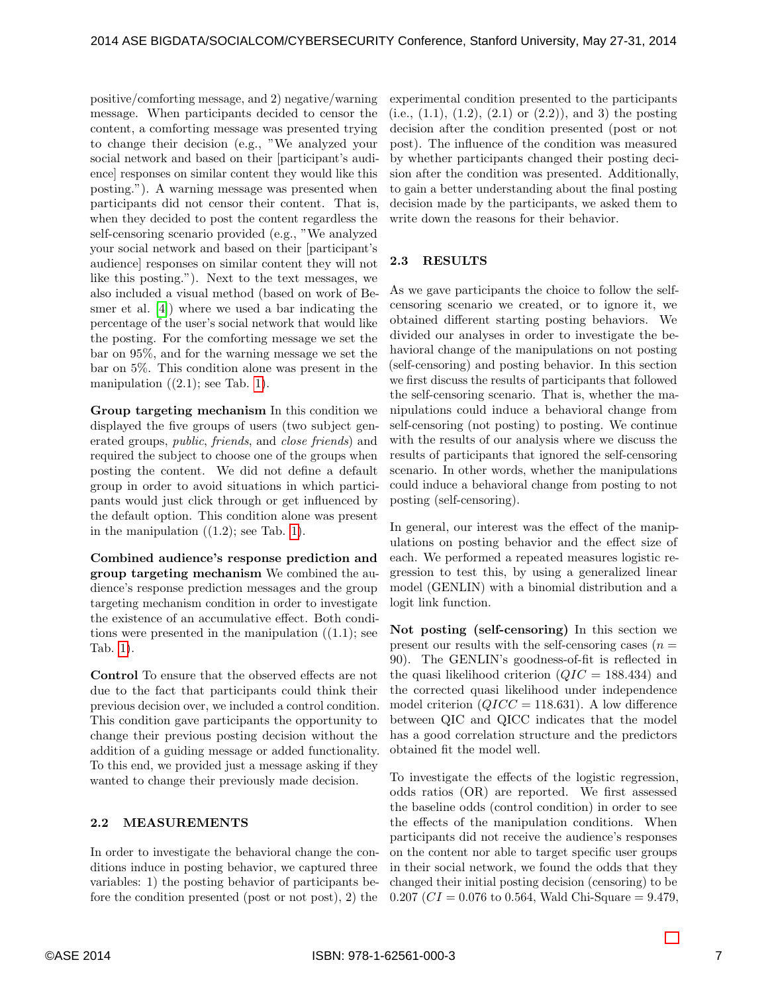positive/comforting message, and 2) negative/warning message. When participants decided to censor the content, a comforting message was presented trying to change their decision (e.g., "We analyzed your social network and based on their [participant's audience] responses on similar content they would like this posting."). A warning message was presented when participants did not censor their content. That is, when they decided to post the content regardless the self-censoring scenario provided (e.g., "We analyzed your social network and based on their [participant's audience] responses on similar content they will not like this posting."). Next to the text messages, we also included a visual method (based on work of Besmer et al. [\[4\]](#page-10-16)) where we used a bar indicating the percentage of the user's social network that would like the posting. For the comforting message we set the bar on 95%, and for the warning message we set the bar on 5%. This condition alone was present in the manipulation  $((2.1);$  see Tab. [1\)](#page-5-2).

Group targeting mechanism In this condition we displayed the five groups of users (two subject generated groups, public, friends, and close friends) and required the subject to choose one of the groups when posting the content. We did not define a default group in order to avoid situations in which participants would just click through or get influenced by the default option. This condition alone was present in the manipulation  $((1.2))$ ; see Tab. [1\)](#page-5-2).

Combined audience's response prediction and group targeting mechanism We combined the audience's response prediction messages and the group targeting mechanism condition in order to investigate the existence of an accumulative effect. Both conditions were presented in the manipulation  $((1.1))$ ; see Tab. [1\)](#page-5-2).

Control To ensure that the observed effects are not due to the fact that participants could think their previous decision over, we included a control condition. This condition gave participants the opportunity to change their previous posting decision without the addition of a guiding message or added functionality. To this end, we provided just a message asking if they wanted to change their previously made decision.

### 2.2 MEASUREMENTS

In order to investigate the behavioral change the conditions induce in posting behavior, we captured three variables: 1) the posting behavior of participants before the condition presented (post or not post), 2) the

experimental condition presented to the participants (i.e.,  $(1.1)$ ,  $(1.2)$ ,  $(2.1)$  or  $(2.2)$ ), and 3) the posting decision after the condition presented (post or not post). The influence of the condition was measured by whether participants changed their posting decision after the condition was presented. Additionally, to gain a better understanding about the final posting decision made by the participants, we asked them to write down the reasons for their behavior.

### 2.3 RESULTS

As we gave participants the choice to follow the selfcensoring scenario we created, or to ignore it, we obtained different starting posting behaviors. We divided our analyses in order to investigate the behavioral change of the manipulations on not posting (self-censoring) and posting behavior. In this section we first discuss the results of participants that followed the self-censoring scenario. That is, whether the manipulations could induce a behavioral change from self-censoring (not posting) to posting. We continue with the results of our analysis where we discuss the results of participants that ignored the self-censoring scenario. In other words, whether the manipulations could induce a behavioral change from posting to not posting (self-censoring).

In general, our interest was the effect of the manipulations on posting behavior and the effect size of each. We performed a repeated measures logistic regression to test this, by using a generalized linear model (GENLIN) with a binomial distribution and a logit link function.

Not posting (self-censoring) In this section we present our results with the self-censoring cases  $(n =$ 90). The GENLIN's goodness-of-fit is reflected in the quasi likelihood criterion  $(QIC = 188.434)$  and the corrected quasi likelihood under independence model criterion  $(QICC = 118.631)$ . A low difference between QIC and QICC indicates that the model has a good correlation structure and the predictors obtained fit the model well.

To investigate the effects of the logistic regression, odds ratios (OR) are reported. We first assessed the baseline odds (control condition) in order to see the effects of the manipulation conditions. When participants did not receive the audience's responses on the content nor able to target specific user groups in their social network, we found the odds that they changed their initial posting decision (censoring) to be  $0.207$  (*CI* = 0.076 to 0.564, Wald Chi-Square = 9.479,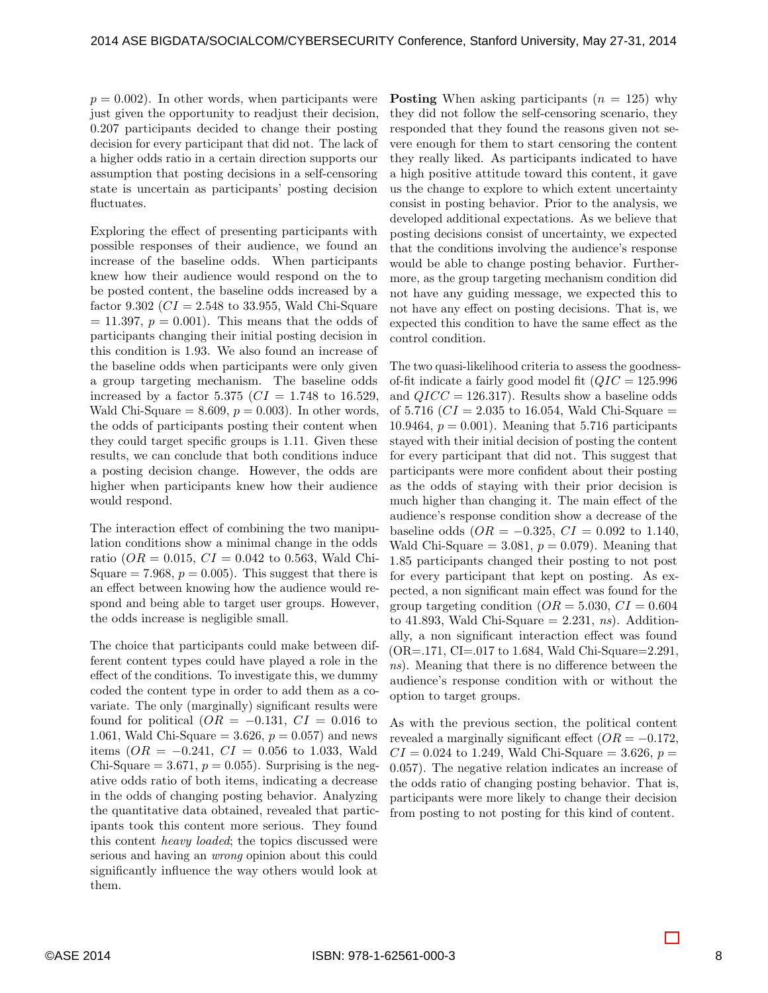$p = 0.002$ . In other words, when participants were just given the opportunity to readjust their decision, 0.207 participants decided to change their posting decision for every participant that did not. The lack of a higher odds ratio in a certain direction supports our assumption that posting decisions in a self-censoring state is uncertain as participants' posting decision fluctuates.

Exploring the effect of presenting participants with possible responses of their audience, we found an increase of the baseline odds. When participants knew how their audience would respond on the to be posted content, the baseline odds increased by a factor 9.302 ( $CI = 2.548$  to 33.955, Wald Chi-Square  $= 11.397, p = 0.001$ . This means that the odds of participants changing their initial posting decision in this condition is 1.93. We also found an increase of the baseline odds when participants were only given a group targeting mechanism. The baseline odds increased by a factor 5.375 ( $CI = 1.748$  to 16.529, Wald Chi-Square  $= 8.609, p = 0.003$ . In other words, the odds of participants posting their content when they could target specific groups is 1.11. Given these results, we can conclude that both conditions induce a posting decision change. However, the odds are higher when participants knew how their audience would respond.

The interaction effect of combining the two manipulation conditions show a minimal change in the odds ratio ( $OR = 0.015$ ,  $CI = 0.042$  to 0.563, Wald Chi-Square = 7.968,  $p = 0.005$ . This suggest that there is an effect between knowing how the audience would respond and being able to target user groups. However, the odds increase is negligible small.

The choice that participants could make between different content types could have played a role in the effect of the conditions. To investigate this, we dummy coded the content type in order to add them as a covariate. The only (marginally) significant results were found for political  $(OR = -0.131, CI = 0.016$  to 1.061, Wald Chi-Square = 3.626,  $p = 0.057$ ) and news items ( $OR = -0.241$ ,  $CI = 0.056$  to 1.033, Wald Chi-Square = 3.671,  $p = 0.055$ . Surprising is the negative odds ratio of both items, indicating a decrease in the odds of changing posting behavior. Analyzing the quantitative data obtained, revealed that participants took this content more serious. They found this content heavy loaded; the topics discussed were serious and having an wrong opinion about this could significantly influence the way others would look at them.

**Posting** When asking participants  $(n = 125)$  why they did not follow the self-censoring scenario, they responded that they found the reasons given not severe enough for them to start censoring the content they really liked. As participants indicated to have a high positive attitude toward this content, it gave us the change to explore to which extent uncertainty consist in posting behavior. Prior to the analysis, we developed additional expectations. As we believe that posting decisions consist of uncertainty, we expected that the conditions involving the audience's response would be able to change posting behavior. Furthermore, as the group targeting mechanism condition did not have any guiding message, we expected this to not have any effect on posting decisions. That is, we expected this condition to have the same effect as the control condition.

The two quasi-likelihood criteria to assess the goodnessof-fit indicate a fairly good model fit  $(QIC = 125.996$ and  $QICC = 126.317$ . Results show a baseline odds of 5.716 ( $CI = 2.035$  to 16.054, Wald Chi-Square  $=$ 10.9464,  $p = 0.001$ . Meaning that 5.716 participants stayed with their initial decision of posting the content for every participant that did not. This suggest that participants were more confident about their posting as the odds of staying with their prior decision is much higher than changing it. The main effect of the audience's response condition show a decrease of the baseline odds  $(OR = -0.325, CI = 0.092$  to 1.140, Wald Chi-Square  $= 3.081, p = 0.079$ . Meaning that 1.85 participants changed their posting to not post for every participant that kept on posting. As expected, a non significant main effect was found for the group targeting condition  $(OR = 5.030, CI = 0.604)$ to 41.893, Wald Chi-Square = 2.231, ns). Additionally, a non significant interaction effect was found (OR=.171, CI=.017 to 1.684, Wald Chi-Square=2.291, ns). Meaning that there is no difference between the audience's response condition with or without the option to target groups.

As with the previous section, the political content revealed a marginally significant effect  $(OR = -0.172,$  $CI = 0.024$  to 1.249, Wald Chi-Square = 3.626,  $p =$ 0.057). The negative relation indicates an increase of the odds ratio of changing posting behavior. That is, participants were more likely to change their decision from posting to not posting for this kind of content.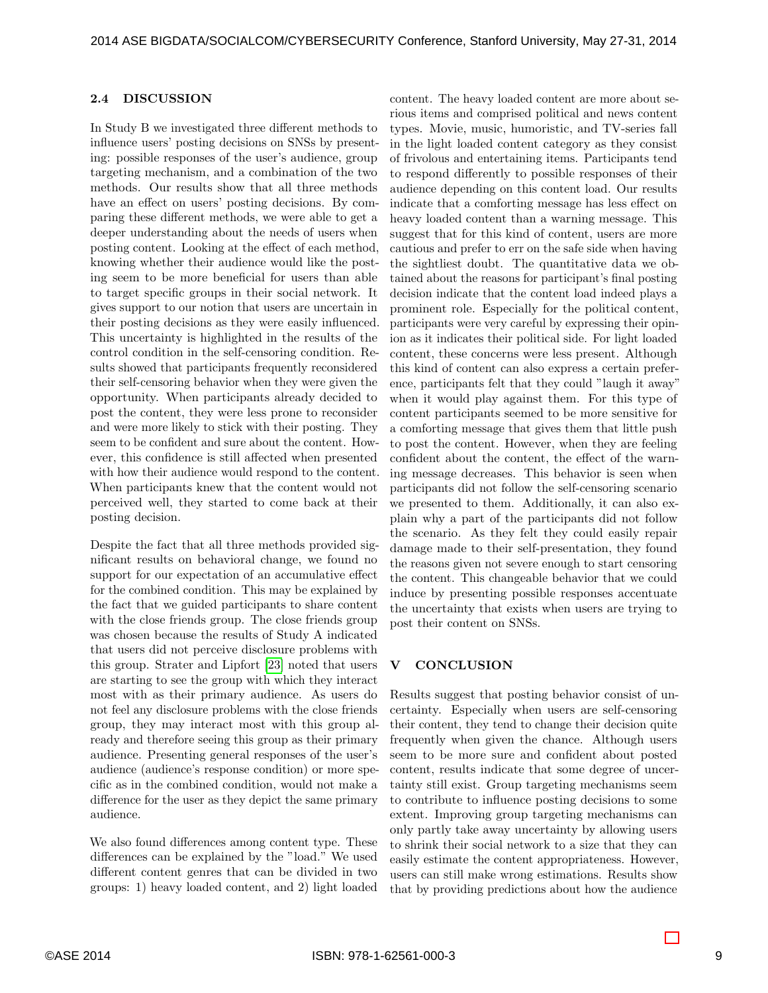### 2.4 DISCUSSION

In Study B we investigated three different methods to influence users' posting decisions on SNSs by presenting: possible responses of the user's audience, group targeting mechanism, and a combination of the two methods. Our results show that all three methods have an effect on users' posting decisions. By comparing these different methods, we were able to get a deeper understanding about the needs of users when posting content. Looking at the effect of each method, knowing whether their audience would like the posting seem to be more beneficial for users than able to target specific groups in their social network. It gives support to our notion that users are uncertain in their posting decisions as they were easily influenced. This uncertainty is highlighted in the results of the control condition in the self-censoring condition. Results showed that participants frequently reconsidered their self-censoring behavior when they were given the opportunity. When participants already decided to post the content, they were less prone to reconsider and were more likely to stick with their posting. They seem to be confident and sure about the content. However, this confidence is still affected when presented with how their audience would respond to the content. When participants knew that the content would not perceived well, they started to come back at their posting decision.

Despite the fact that all three methods provided significant results on behavioral change, we found no support for our expectation of an accumulative effect for the combined condition. This may be explained by the fact that we guided participants to share content with the close friends group. The close friends group was chosen because the results of Study A indicated that users did not perceive disclosure problems with this group. Strater and Lipfort [\[23\]](#page-11-1) noted that users are starting to see the group with which they interact most with as their primary audience. As users do not feel any disclosure problems with the close friends group, they may interact most with this group already and therefore seeing this group as their primary audience. Presenting general responses of the user's audience (audience's response condition) or more specific as in the combined condition, would not make a difference for the user as they depict the same primary audience.

We also found differences among content type. These differences can be explained by the "load." We used different content genres that can be divided in two groups: 1) heavy loaded content, and 2) light loaded content. The heavy loaded content are more about serious items and comprised political and news content types. Movie, music, humoristic, and TV-series fall in the light loaded content category as they consist of frivolous and entertaining items. Participants tend to respond differently to possible responses of their audience depending on this content load. Our results indicate that a comforting message has less effect on heavy loaded content than a warning message. This suggest that for this kind of content, users are more cautious and prefer to err on the safe side when having the sightliest doubt. The quantitative data we obtained about the reasons for participant's final posting decision indicate that the content load indeed plays a prominent role. Especially for the political content, participants were very careful by expressing their opinion as it indicates their political side. For light loaded content, these concerns were less present. Although this kind of content can also express a certain preference, participants felt that they could "laugh it away" when it would play against them. For this type of content participants seemed to be more sensitive for a comforting message that gives them that little push to post the content. However, when they are feeling confident about the content, the effect of the warning message decreases. This behavior is seen when participants did not follow the self-censoring scenario we presented to them. Additionally, it can also explain why a part of the participants did not follow the scenario. As they felt they could easily repair damage made to their self-presentation, they found the reasons given not severe enough to start censoring the content. This changeable behavior that we could induce by presenting possible responses accentuate the uncertainty that exists when users are trying to post their content on SNSs.

### V CONCLUSION

Results suggest that posting behavior consist of uncertainty. Especially when users are self-censoring their content, they tend to change their decision quite frequently when given the chance. Although users seem to be more sure and confident about posted content, results indicate that some degree of uncertainty still exist. Group targeting mechanisms seem to contribute to influence posting decisions to some extent. Improving group targeting mechanisms can only partly take away uncertainty by allowing users to shrink their social network to a size that they can easily estimate the content appropriateness. However, users can still make wrong estimations. Results show that by providing predictions about how the audience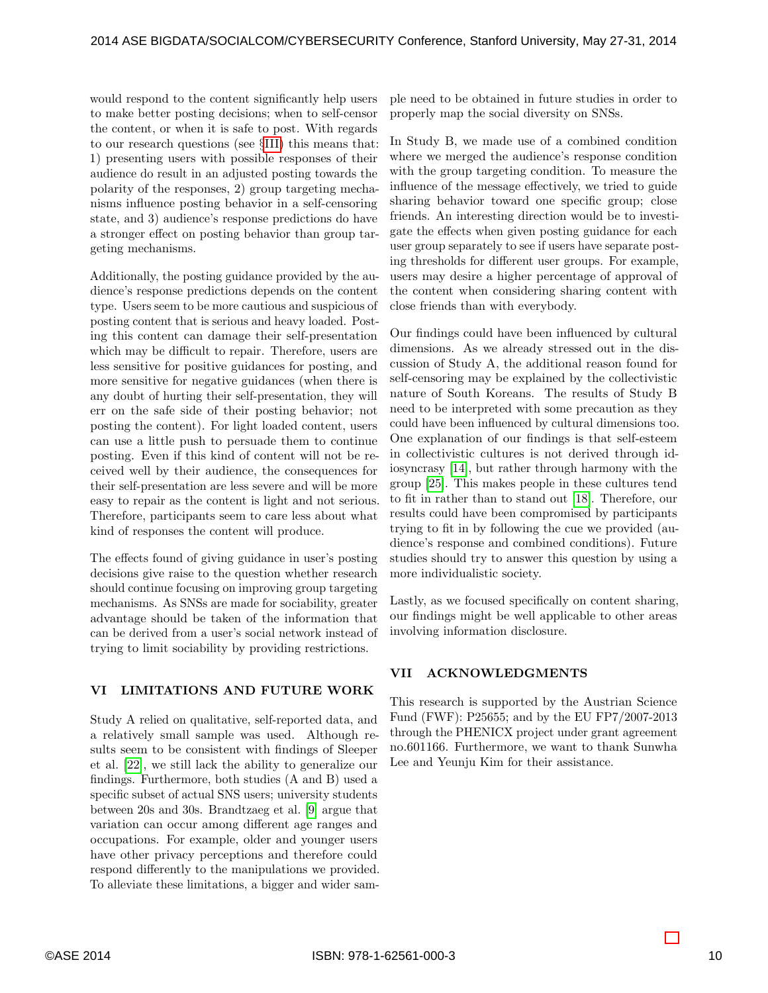would respond to the content significantly help users to make better posting decisions; when to self-censor the content, or when it is safe to post. With regards to our research questions (see §[III\)](#page-2-0) this means that: 1) presenting users with possible responses of their audience do result in an adjusted posting towards the polarity of the responses, 2) group targeting mechanisms influence posting behavior in a self-censoring state, and 3) audience's response predictions do have a stronger effect on posting behavior than group targeting mechanisms.

Additionally, the posting guidance provided by the audience's response predictions depends on the content type. Users seem to be more cautious and suspicious of posting content that is serious and heavy loaded. Posting this content can damage their self-presentation which may be difficult to repair. Therefore, users are less sensitive for positive guidances for posting, and more sensitive for negative guidances (when there is any doubt of hurting their self-presentation, they will err on the safe side of their posting behavior; not posting the content). For light loaded content, users can use a little push to persuade them to continue posting. Even if this kind of content will not be received well by their audience, the consequences for their self-presentation are less severe and will be more easy to repair as the content is light and not serious. Therefore, participants seem to care less about what kind of responses the content will produce.

The effects found of giving guidance in user's posting decisions give raise to the question whether research should continue focusing on improving group targeting mechanisms. As SNSs are made for sociability, greater advantage should be taken of the information that can be derived from a user's social network instead of trying to limit sociability by providing restrictions.

# VI LIMITATIONS AND FUTURE WORK

Study A relied on qualitative, self-reported data, and a relatively small sample was used. Although results seem to be consistent with findings of Sleeper et al. [\[22\]](#page-10-4), we still lack the ability to generalize our findings. Furthermore, both studies (A and B) used a specific subset of actual SNS users; university students between 20s and 30s. Brandtzaeg et al. [\[9\]](#page-10-2) argue that variation can occur among different age ranges and occupations. For example, older and younger users have other privacy perceptions and therefore could respond differently to the manipulations we provided. To alleviate these limitations, a bigger and wider sam-

ple need to be obtained in future studies in order to properly map the social diversity on SNSs.

In Study B, we made use of a combined condition where we merged the audience's response condition with the group targeting condition. To measure the influence of the message effectively, we tried to guide sharing behavior toward one specific group; close friends. An interesting direction would be to investigate the effects when given posting guidance for each user group separately to see if users have separate posting thresholds for different user groups. For example, users may desire a higher percentage of approval of the content when considering sharing content with close friends than with everybody.

Our findings could have been influenced by cultural dimensions. As we already stressed out in the discussion of Study A, the additional reason found for self-censoring may be explained by the collectivistic nature of South Koreans. The results of Study B need to be interpreted with some precaution as they could have been influenced by cultural dimensions too. One explanation of our findings is that self-esteem in collectivistic cultures is not derived through idiosyncrasy [\[14\]](#page-10-20), but rather through harmony with the group [\[25\]](#page-11-2). This makes people in these cultures tend to fit in rather than to stand out [\[18\]](#page-10-21). Therefore, our results could have been compromised by participants trying to fit in by following the cue we provided (audience's response and combined conditions). Future studies should try to answer this question by using a more individualistic society.

Lastly, as we focused specifically on content sharing, our findings might be well applicable to other areas involving information disclosure.

### VII ACKNOWLEDGMENTS

This research is supported by the Austrian Science Fund (FWF): P25655; and by the EU FP7/2007-2013 through the PHENICX project under grant agreement no.601166. Furthermore, we want to thank Sunwha Lee and Yeunju Kim for their assistance.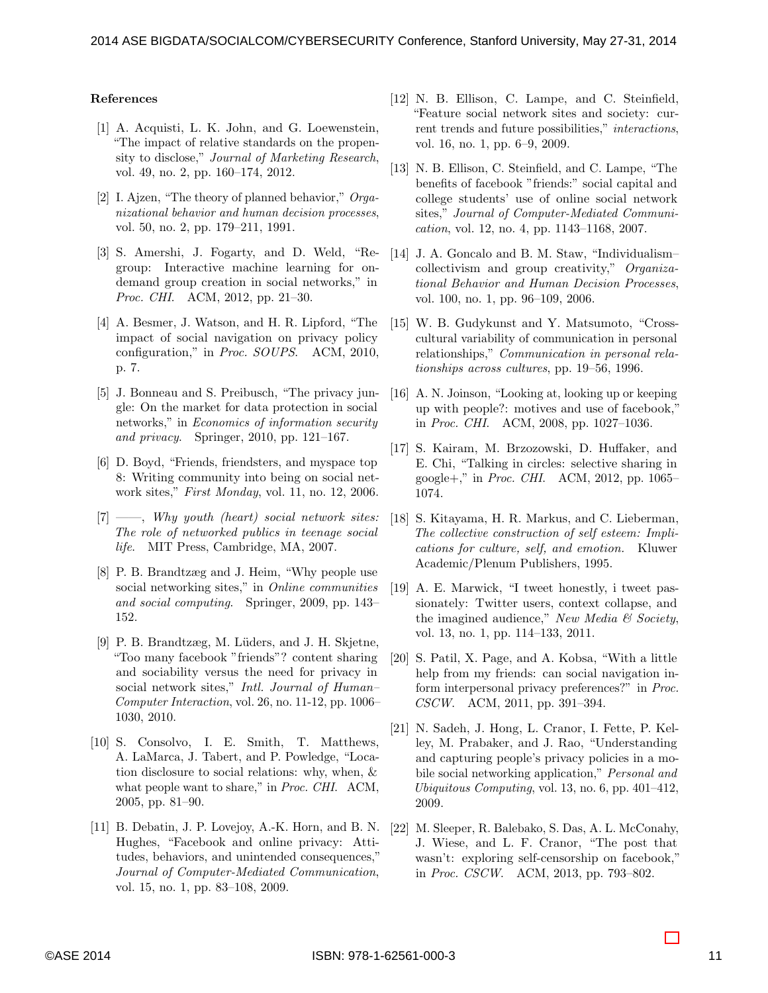#### References

- <span id="page-10-15"></span>[1] A. Acquisti, L. K. John, and G. Loewenstein, "The impact of relative standards on the propensity to disclose," Journal of Marketing Research, vol. 49, no. 2, pp. 160–174, 2012.
- <span id="page-10-18"></span>[2] I. Ajzen, "The theory of planned behavior," Organizational behavior and human decision processes, vol. 50, no. 2, pp. 179–211, 1991.
- <span id="page-10-12"></span>[3] S. Amershi, J. Fogarty, and D. Weld, "Regroup: Interactive machine learning for ondemand group creation in social networks," in Proc. CHI. ACM, 2012, pp. 21–30.
- <span id="page-10-16"></span>[4] A. Besmer, J. Watson, and H. R. Lipford, "The impact of social navigation on privacy policy configuration," in Proc. SOUPS. ACM, 2010, p. 7.
- <span id="page-10-8"></span>[5] J. Bonneau and S. Preibusch, "The privacy jungle: On the market for data protection in social networks," in Economics of information security and privacy. Springer, 2010, pp. 121–167.
- <span id="page-10-6"></span>[6] D. Boyd, "Friends, friendsters, and myspace top 8: Writing community into being on social network sites," First Monday, vol. 11, no. 12, 2006.
- <span id="page-10-11"></span> $[7] \longrightarrow$ , Why youth (heart) social network sites: The role of networked publics in teenage social life. MIT Press, Cambridge, MA, 2007.
- <span id="page-10-0"></span>[8] P. B. Brandtzæg and J. Heim, "Why people use social networking sites," in Online communities and social computing. Springer, 2009, pp. 143– 152.
- <span id="page-10-2"></span>[9] P. B. Brandtzæg, M. Lüders, and J. H. Skjetne, "Too many facebook "friends"? content sharing and sociability versus the need for privacy in social network sites," Intl. Journal of Human– Computer Interaction, vol. 26, no. 11-12, pp. 1006– 1030, 2010.
- <span id="page-10-14"></span>[10] S. Consolvo, I. E. Smith, T. Matthews, A. LaMarca, J. Tabert, and P. Powledge, "Location disclosure to social relations: why, when, & what people want to share," in *Proc. CHI.* ACM, 2005, pp. 81–90.
- <span id="page-10-9"></span>[11] B. Debatin, J. P. Lovejoy, A.-K. Horn, and B. N. Hughes, "Facebook and online privacy: Attitudes, behaviors, and unintended consequences," Journal of Computer-Mediated Communication, vol. 15, no. 1, pp. 83–108, 2009.
- <span id="page-10-1"></span>[12] N. B. Ellison, C. Lampe, and C. Steinfield, "Feature social network sites and society: current trends and future possibilities," interactions, vol. 16, no. 1, pp. 6–9, 2009.
- <span id="page-10-7"></span>[13] N. B. Ellison, C. Steinfield, and C. Lampe, "The benefits of facebook "friends:" social capital and college students' use of online social network sites," Journal of Computer-Mediated Communication, vol. 12, no. 4, pp. 1143–1168, 2007.
- <span id="page-10-20"></span>[14] J. A. Goncalo and B. M. Staw, "Individualism– collectivism and group creativity," Organizational Behavior and Human Decision Processes, vol. 100, no. 1, pp. 96–109, 2006.
- <span id="page-10-19"></span>[15] W. B. Gudykunst and Y. Matsumoto, "Crosscultural variability of communication in personal relationships," Communication in personal relationships across cultures, pp. 19–56, 1996.
- <span id="page-10-5"></span>[16] A. N. Joinson, "Looking at, looking up or keeping up with people?: motives and use of facebook," in Proc. CHI. ACM, 2008, pp. 1027–1036.
- <span id="page-10-3"></span>[17] S. Kairam, M. Brzozowski, D. Huffaker, and E. Chi, "Talking in circles: selective sharing in google+," in *Proc. CHI.* ACM, 2012, pp. 1065– 1074.
- <span id="page-10-21"></span>[18] S. Kitayama, H. R. Markus, and C. Lieberman, The collective construction of self esteem: Implications for culture, self, and emotion. Kluwer Academic/Plenum Publishers, 1995.
- <span id="page-10-10"></span>[19] A. E. Marwick, "I tweet honestly, i tweet passionately: Twitter users, context collapse, and the imagined audience," New Media  $\mathcal{B}$  Society, vol. 13, no. 1, pp. 114–133, 2011.
- <span id="page-10-17"></span>[20] S. Patil, X. Page, and A. Kobsa, "With a little help from my friends: can social navigation inform interpersonal privacy preferences?" in Proc. CSCW. ACM, 2011, pp. 391–394.
- <span id="page-10-13"></span>[21] N. Sadeh, J. Hong, L. Cranor, I. Fette, P. Kelley, M. Prabaker, and J. Rao, "Understanding and capturing people's privacy policies in a mobile social networking application," Personal and Ubiquitous Computing, vol. 13, no. 6, pp. 401–412, 2009.
- <span id="page-10-4"></span>[22] M. Sleeper, R. Balebako, S. Das, A. L. McConahy, J. Wiese, and L. F. Cranor, "The post that wasn't: exploring self-censorship on facebook," in Proc. CSCW. ACM, 2013, pp. 793–802.